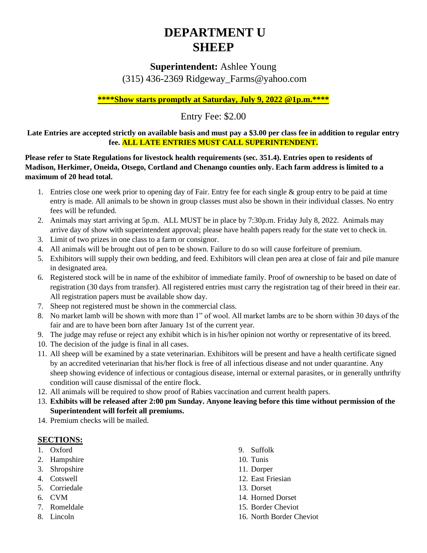# **DEPARTMENT U SHEEP**

**Superintendent:** Ashlee Young

(315) 436-2369 Ridgeway\_Farms@yahoo.com

**\*\*\*\*Show starts promptly at Saturday, July 9, 2022 @1p.m.\*\*\*\***

# Entry Fee: \$2.00

**Late Entries are accepted strictly on available basis and must pay a \$3.00 per class fee in addition to regular entry fee. ALL LATE ENTRIES MUST CALL SUPERINTENDENT.**

**Please refer to State Regulations for livestock health requirements (sec. 351.4). Entries open to residents of Madison, Herkimer, Oneida, Otsego, Cortland and Chenango counties only. Each farm address is limited to a maximum of 20 head total.** 

- 1. Entries close one week prior to opening day of Fair. Entry fee for each single & group entry to be paid at time entry is made. All animals to be shown in group classes must also be shown in their individual classes. No entry fees will be refunded.
- 2. Animals may start arriving at 5p.m. ALL MUST be in place by 7:30p.m. Friday July 8, 2022. Animals may arrive day of show with superintendent approval; please have health papers ready for the state vet to check in.
- 3. Limit of two prizes in one class to a farm or consignor.
- 4. All animals will be brought out of pen to be shown. Failure to do so will cause forfeiture of premium.
- 5. Exhibitors will supply their own bedding, and feed. Exhibitors will clean pen area at close of fair and pile manure in designated area.
- 6. Registered stock will be in name of the exhibitor of immediate family. Proof of ownership to be based on date of registration (30 days from transfer). All registered entries must carry the registration tag of their breed in their ear. All registration papers must be available show day.
- 7. Sheep not registered must be shown in the commercial class.
- 8. No market lamb will be shown with more than 1" of wool. All market lambs are to be shorn within 30 days of the fair and are to have been born after January 1st of the current year.
- 9. The judge may refuse or reject any exhibit which is in his/her opinion not worthy or representative of its breed.
- 10. The decision of the judge is final in all cases.
- 11. All sheep will be examined by a state veterinarian. Exhibitors will be present and have a health certificate signed by an accredited veterinarian that his/her flock is free of all infectious disease and not under quarantine. Any sheep showing evidence of infectious or contagious disease, internal or external parasites, or in generally unthrifty condition will cause dismissal of the entire flock.
- 12. All animals will be required to show proof of Rabies vaccination and current health papers.
- 13. **Exhibits will be released after 2:00 pm Sunday. Anyone leaving before this time without permission of the Superintendent will forfeit all premiums.**
- 14. Premium checks will be mailed.

# **SECTIONS:**

- 1. Oxford
- 2. Hampshire
- 3. Shropshire
- 4. Cotswell
- 5. Corriedale
- 6. CVM
- 7. Romeldale
- 8. Lincoln
- 9. Suffolk
- 10. Tunis
- 11. Dorper
- 12. East Friesian
- 13. Dorset
- 14. Horned Dorset
- 15. Border Cheviot
- 16. North Border Cheviot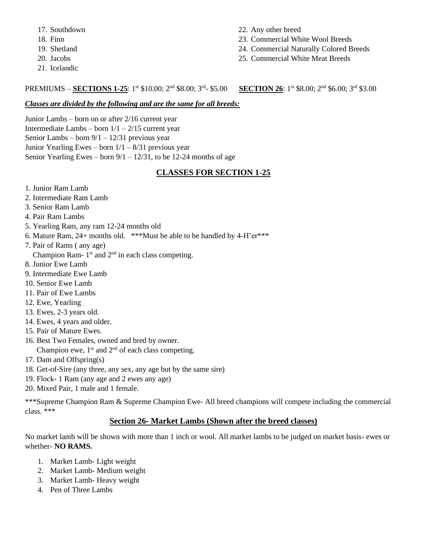- 17. Southdown
- 18. Finn
- 19. Shetland
- 20. Jacobs
- 21. Icelandic
- 22. Any other breed
- 23. Commercial White Wool Breeds
- 24. Commercial Naturally Colored Breeds
- 25. Commercial White Meat Breeds

#### PREMIUMS – SECTIONS 1-25: 1st \$10.00; 2<sup>nd</sup> \$8.00; 3<sup>rd</sup> - \$5.00 **SECTION 26**: 1<sup>st</sup> \$8.00; 2<sup>nd</sup> \$6.00; 3<sup>rd</sup> \$3.00

#### *Classes are divided by the following and are the same for all breeds:*

Junior Lambs – born on or after 2/16 current year Intermediate Lambs – born  $1/1 - 2/15$  current year Senior Lambs – born  $9/1 - 12/31$  previous year Junior Yearling Ewes – born  $1/1 - 8/31$  previous year Senior Yearling Ewes – born  $9/1 - 12/31$ , to be 12-24 months of age

# **CLASSES FOR SECTION 1-25**

- 1. Junior Ram Lamb
- 2. Intermediate Ram Lamb
- 3. Senior Ram Lamb
- 4. Pair Ram Lambs
- 5. Yearling Ram, any ram 12-24 months old
- 6. Mature Ram, 24+ months old. \*\*\*Must be able to be handled by 4-H'er\*\*\*
- 7. Pair of Rams ( any age)
- Champion Ram-  $1<sup>st</sup>$  and  $2<sup>nd</sup>$  in each class competing.
- 8. Junior Ewe Lamb
- 9. Intermediate Ewe Lamb
- 10. Senior Ewe Lamb
- 11. Pair of Ewe Lambs
- 12. Ewe, Yearling
- 13. Ewes, 2-3 years old.
- 14. Ewes, 4 years and older.
- 15. Pair of Mature Ewes.
- 16. Best Two Females, owned and bred by owner.
	- Champion ewe,  $1<sup>st</sup>$  and  $2<sup>nd</sup>$  of each class competing.
- 17. Dam and Offspring(s)
- 18. Get-of-Sire (any three, any sex, any age but by the same sire)
- 19. Flock- 1 Ram (any age and 2 ewes any age)
- 20. Mixed Pair, 1 male and 1 female.

\*\*\*Supreme Champion Ram & Supreme Champion Ewe- All breed champions will compete including the commercial class. \*\*\*

### **Section 26- Market Lambs (Shown after the breed classes)**

No market lamb will be shown with more than 1 inch or wool. All market lambs to be judged on market basis- ewes or whether- **NO RAMS.**

- 1. Market Lamb- Light weight
- 2. Market Lamb- Medium weight
- 3. Market Lamb- Heavy weight
- 4. Pen of Three Lambs